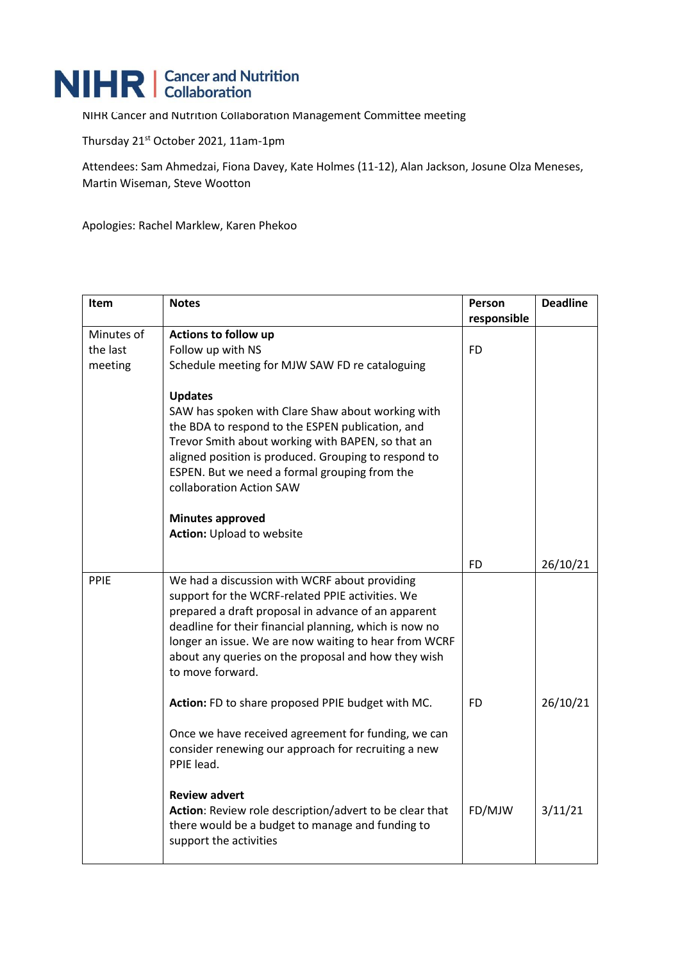## NIHR | Cancer and Nutrition

NIHR Cancer and Nutrition Collaboration Management Committee meeting

Thursday 21<sup>st</sup> October 2021, 11am-1pm

Attendees: Sam Ahmedzai, Fiona Davey, Kate Holmes (11-12), Alan Jackson, Josune Olza Meneses, Martin Wiseman, Steve Wootton

Apologies: Rachel Marklew, Karen Phekoo

| Item                              | <b>Notes</b>                                                                                                                                                                                                                                                                                                                                           | Person<br>responsible | <b>Deadline</b> |
|-----------------------------------|--------------------------------------------------------------------------------------------------------------------------------------------------------------------------------------------------------------------------------------------------------------------------------------------------------------------------------------------------------|-----------------------|-----------------|
| Minutes of<br>the last<br>meeting | Actions to follow up<br>Follow up with NS<br>Schedule meeting for MJW SAW FD re cataloguing                                                                                                                                                                                                                                                            | <b>FD</b>             |                 |
|                                   | <b>Updates</b><br>SAW has spoken with Clare Shaw about working with<br>the BDA to respond to the ESPEN publication, and<br>Trevor Smith about working with BAPEN, so that an<br>aligned position is produced. Grouping to respond to<br>ESPEN. But we need a formal grouping from the<br>collaboration Action SAW                                      |                       |                 |
|                                   | <b>Minutes approved</b><br>Action: Upload to website                                                                                                                                                                                                                                                                                                   |                       |                 |
|                                   |                                                                                                                                                                                                                                                                                                                                                        | <b>FD</b>             | 26/10/21        |
| PPIE                              | We had a discussion with WCRF about providing<br>support for the WCRF-related PPIE activities. We<br>prepared a draft proposal in advance of an apparent<br>deadline for their financial planning, which is now no<br>longer an issue. We are now waiting to hear from WCRF<br>about any queries on the proposal and how they wish<br>to move forward. |                       |                 |
|                                   | Action: FD to share proposed PPIE budget with MC.                                                                                                                                                                                                                                                                                                      | <b>FD</b>             | 26/10/21        |
|                                   | Once we have received agreement for funding, we can<br>consider renewing our approach for recruiting a new<br>PPIE lead.                                                                                                                                                                                                                               |                       |                 |
|                                   | <b>Review advert</b><br>Action: Review role description/advert to be clear that<br>there would be a budget to manage and funding to<br>support the activities                                                                                                                                                                                          | FD/MJW                | 3/11/21         |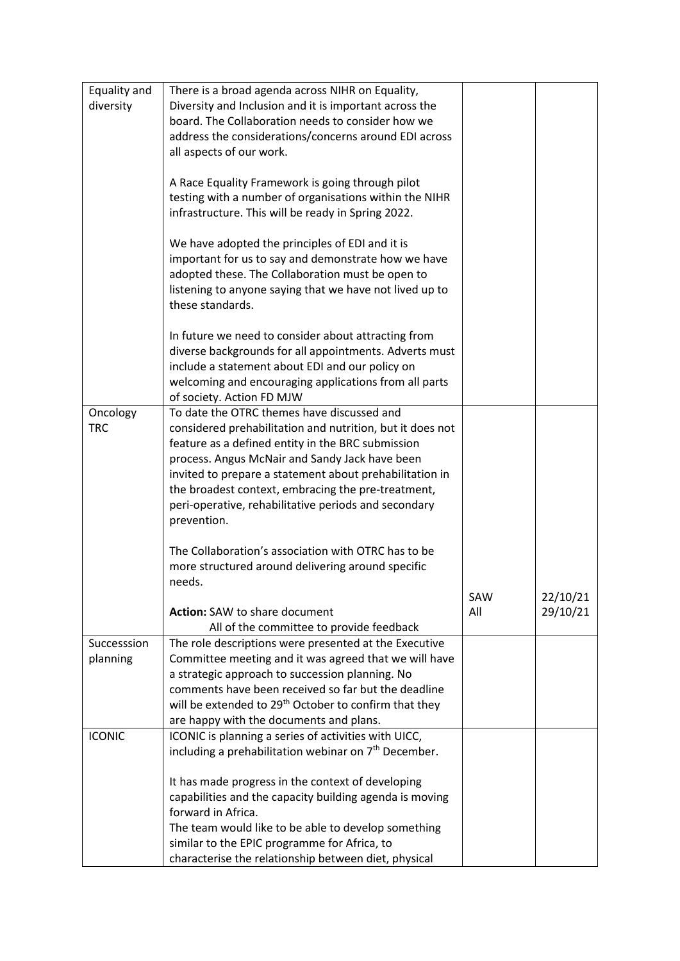| Equality and  | There is a broad agenda across NIHR on Equality,                  |     |          |
|---------------|-------------------------------------------------------------------|-----|----------|
|               |                                                                   |     |          |
| diversity     | Diversity and Inclusion and it is important across the            |     |          |
|               | board. The Collaboration needs to consider how we                 |     |          |
|               | address the considerations/concerns around EDI across             |     |          |
|               | all aspects of our work.                                          |     |          |
|               |                                                                   |     |          |
|               | A Race Equality Framework is going through pilot                  |     |          |
|               | testing with a number of organisations within the NIHR            |     |          |
|               | infrastructure. This will be ready in Spring 2022.                |     |          |
|               |                                                                   |     |          |
|               |                                                                   |     |          |
|               | We have adopted the principles of EDI and it is                   |     |          |
|               | important for us to say and demonstrate how we have               |     |          |
|               | adopted these. The Collaboration must be open to                  |     |          |
|               | listening to anyone saying that we have not lived up to           |     |          |
|               | these standards.                                                  |     |          |
|               |                                                                   |     |          |
|               | In future we need to consider about attracting from               |     |          |
|               | diverse backgrounds for all appointments. Adverts must            |     |          |
|               | include a statement about EDI and our policy on                   |     |          |
|               |                                                                   |     |          |
|               | welcoming and encouraging applications from all parts             |     |          |
|               | of society. Action FD MJW                                         |     |          |
| Oncology      | To date the OTRC themes have discussed and                        |     |          |
| <b>TRC</b>    | considered prehabilitation and nutrition, but it does not         |     |          |
|               | feature as a defined entity in the BRC submission                 |     |          |
|               | process. Angus McNair and Sandy Jack have been                    |     |          |
|               | invited to prepare a statement about prehabilitation in           |     |          |
|               | the broadest context, embracing the pre-treatment,                |     |          |
|               | peri-operative, rehabilitative periods and secondary              |     |          |
|               | prevention.                                                       |     |          |
|               |                                                                   |     |          |
|               | The Collaboration's association with OTRC has to be               |     |          |
|               | more structured around delivering around specific                 |     |          |
|               | needs.                                                            |     |          |
|               |                                                                   |     |          |
|               |                                                                   | SAW | 22/10/21 |
|               | <b>Action: SAW to share document</b>                              | All | 29/10/21 |
|               | All of the committee to provide feedback                          |     |          |
| Successsion   | The role descriptions were presented at the Executive             |     |          |
| planning      | Committee meeting and it was agreed that we will have             |     |          |
|               | a strategic approach to succession planning. No                   |     |          |
|               | comments have been received so far but the deadline               |     |          |
|               | will be extended to 29 <sup>th</sup> October to confirm that they |     |          |
|               | are happy with the documents and plans.                           |     |          |
| <b>ICONIC</b> | ICONIC is planning a series of activities with UICC,              |     |          |
|               | including a prehabilitation webinar on 7 <sup>th</sup> December.  |     |          |
|               |                                                                   |     |          |
|               |                                                                   |     |          |
|               | It has made progress in the context of developing                 |     |          |
|               | capabilities and the capacity building agenda is moving           |     |          |
|               | forward in Africa.                                                |     |          |
|               | The team would like to be able to develop something               |     |          |
|               | similar to the EPIC programme for Africa, to                      |     |          |
|               | characterise the relationship between diet, physical              |     |          |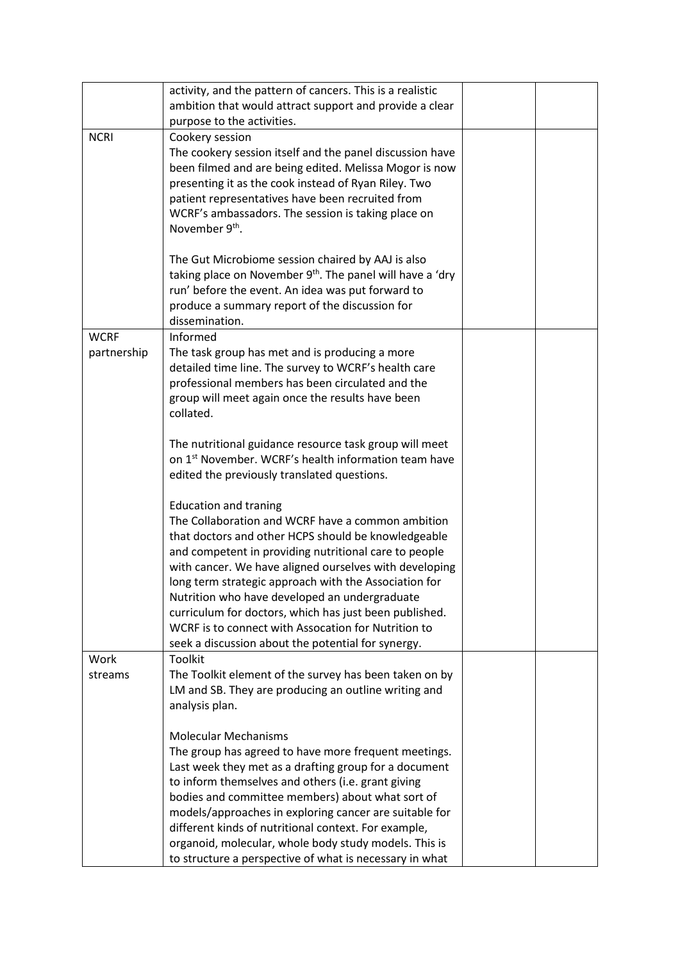|                            | activity, and the pattern of cancers. This is a realistic<br>ambition that would attract support and provide a clear<br>purpose to the activities.                                                                                                                                                                                                                                                                                                                                                                                                      |  |
|----------------------------|---------------------------------------------------------------------------------------------------------------------------------------------------------------------------------------------------------------------------------------------------------------------------------------------------------------------------------------------------------------------------------------------------------------------------------------------------------------------------------------------------------------------------------------------------------|--|
| <b>NCRI</b>                | Cookery session<br>The cookery session itself and the panel discussion have<br>been filmed and are being edited. Melissa Mogor is now<br>presenting it as the cook instead of Ryan Riley. Two<br>patient representatives have been recruited from<br>WCRF's ambassadors. The session is taking place on<br>November 9 <sup>th</sup> .<br>The Gut Microbiome session chaired by AAJ is also                                                                                                                                                              |  |
|                            | taking place on November 9 <sup>th</sup> . The panel will have a 'dry<br>run' before the event. An idea was put forward to<br>produce a summary report of the discussion for<br>dissemination.                                                                                                                                                                                                                                                                                                                                                          |  |
| <b>WCRF</b><br>partnership | Informed<br>The task group has met and is producing a more<br>detailed time line. The survey to WCRF's health care<br>professional members has been circulated and the<br>group will meet again once the results have been<br>collated.                                                                                                                                                                                                                                                                                                                 |  |
|                            | The nutritional guidance resource task group will meet<br>on 1 <sup>st</sup> November. WCRF's health information team have<br>edited the previously translated questions.                                                                                                                                                                                                                                                                                                                                                                               |  |
| Work                       | <b>Education and traning</b><br>The Collaboration and WCRF have a common ambition<br>that doctors and other HCPS should be knowledgeable<br>and competent in providing nutritional care to people<br>with cancer. We have aligned ourselves with developing<br>long term strategic approach with the Association for<br>Nutrition who have developed an undergraduate<br>curriculum for doctors, which has just been published.<br>WCRF is to connect with Assocation for Nutrition to<br>seek a discussion about the potential for synergy.<br>Toolkit |  |
| streams                    | The Toolkit element of the survey has been taken on by<br>LM and SB. They are producing an outline writing and<br>analysis plan.                                                                                                                                                                                                                                                                                                                                                                                                                        |  |
|                            | <b>Molecular Mechanisms</b><br>The group has agreed to have more frequent meetings.<br>Last week they met as a drafting group for a document<br>to inform themselves and others (i.e. grant giving<br>bodies and committee members) about what sort of<br>models/approaches in exploring cancer are suitable for<br>different kinds of nutritional context. For example,<br>organoid, molecular, whole body study models. This is<br>to structure a perspective of what is necessary in what                                                            |  |